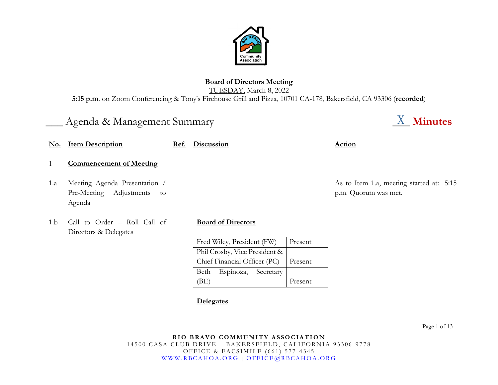

# **Board of Directors Meeting** TUESDAY, March 8, 2022

**5:15 p.m**. on Zoom Conferencing & Tony's Firehouse Grill and Pizza, 10701 CA-178, Bakersfield, CA 93306 (**recorded**)

# Agenda & Management Summary **Agent Agent Summary Agent Agent Agent Agent Agent Agent Agent Agent Agent** Agent Agent

- 1 **Commencement of Meeting**
- 1.a Meeting Agenda Presentation / Pre-Meeting Adjustments to Agenda
- 1.b Call to Order Roll Call of Directors & Delegates

### **Board of Directors**

**No. Item Description Ref. Discussion Action**

| Fred Wiley, President (FW)           | Present |  |  |
|--------------------------------------|---------|--|--|
| Phil Crosby, Vice President &        |         |  |  |
| Chief Financial Officer (PC) Present |         |  |  |
| Beth Espinoza, Secretary             |         |  |  |
| (BE)                                 | Present |  |  |

**Delegates**

As to Item 1.a, meeting started at: 5:15 p.m. Quorum was met.

Page 1 of 13

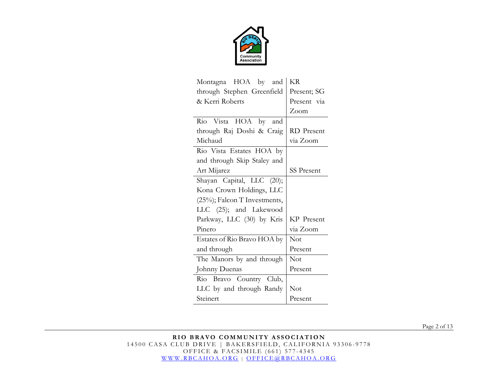

| Montagna HOA by and          | KR                |  |  |
|------------------------------|-------------------|--|--|
| through Stephen Greenfield   | Present; SG       |  |  |
| & Kerri Roberts              | Present via       |  |  |
|                              | Zoom              |  |  |
| Rio Vista HOA by<br>and      |                   |  |  |
| through Raj Doshi & Craig    | RD Present        |  |  |
| Michaud                      | via Zoom          |  |  |
| Rio Vista Estates HOA by     |                   |  |  |
| and through Skip Staley and  |                   |  |  |
| Art Mijarez                  | <b>SS Present</b> |  |  |
| Shayan Capital, LLC (20);    |                   |  |  |
| Kona Crown Holdings, LLC     |                   |  |  |
| (25%); Falcon T Investments, |                   |  |  |
| LLC (25); and Lakewood       |                   |  |  |
| Parkway, LLC (30) by Kris    | KP Present        |  |  |
| Pinero                       | via Zoom          |  |  |
| Estates of Rio Bravo HOA by  | Not               |  |  |
| and through                  | Present           |  |  |
| The Manors by and through    | Not               |  |  |
| Johnny Duenas                | Present           |  |  |
| Rio Bravo Country Club,      |                   |  |  |
| LLC by and through Randy     | Not               |  |  |
| Steinert                     | Present           |  |  |

Page 2 of 13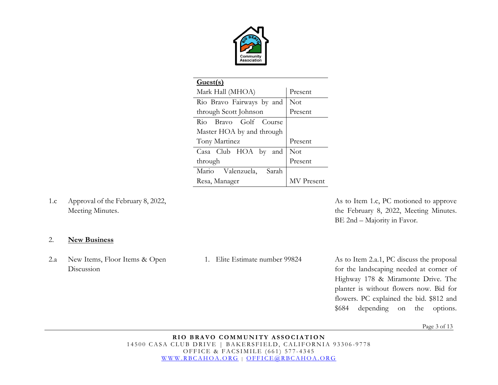

| Guest(s)                   |                   |  |  |
|----------------------------|-------------------|--|--|
| Mark Hall (MHOA)           | Present           |  |  |
| Rio Bravo Fairways by and  | Not               |  |  |
| through Scott Johnson      | Present           |  |  |
| Rio Bravo Golf Course      |                   |  |  |
| Master HOA by and through  |                   |  |  |
| Tony Martinez              | Present           |  |  |
| Casa Club HOA by and       | Not               |  |  |
| through                    | Present           |  |  |
| Mario Valenzuela,<br>Sarah |                   |  |  |
| Resa, Manager              | <b>MV</b> Present |  |  |

1.c Approval of the February 8, 2022, Meeting Minutes.

As to Item 1.c, PC motioned to approve the February 8, 2022, Meeting Minutes. BE 2nd – Majority in Favor.

#### 2. **New Business**

2.a New Items, Floor Items & Open Discussion

1. Elite Estimate number 99824 As to Item 2.a.1, PC discuss the proposal for the landscaping needed at corner of Highway 178 & Miramonte Drive. The planter is without flowers now. Bid for flowers. PC explained the bid. \$812 and \$684 depending on the options.

Page 3 of 13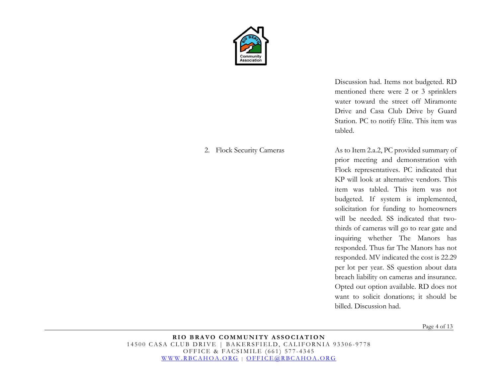

#### 2. Flock Security Cameras

Discussion had. Items not budgeted. RD mentioned there were 2 or 3 sprinklers water toward the street off Miramonte Drive and Casa Club Drive by Guard Station. PC to notify Elite. This item was tabled.

As to Item 2.a.2, PC provided summary of prior meeting and demonstration with Flock representatives. PC indicated that KP will look at alternative vendors. This item was tabled. This item was not budgeted. If system is implemented, solicitation for funding to homeowners will be needed. SS indicated that twothirds of cameras will go to rear gate and inquiring whether The Manors has responded. Thus far The Manors has not responded. MV indicated the cost is 22.29 per lot per year. SS question about data breach liability on cameras and insurance. Opted out option available. RD does not want to solicit donations; it should be billed. Discussion had.

Page 4 of 13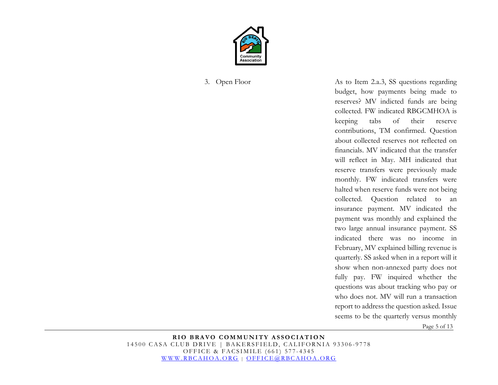

Page 5 of 13 3. Open Floor As to Item 2.a.3, SS questions regarding budget, how payments being made to reserves? MV indicted funds are being collected. FW indicated RBGCMHOA is keeping tabs of their reserve contributions, TM confirmed. Question about collected reserves not reflected on financials. MV indicated that the transfer will reflect in May. MH indicated that reserve transfers were previously made monthly. FW indicated transfers were halted when reserve funds were not being collected. Question related to an insurance payment. MV indicated the payment was monthly and explained the two large annual insurance payment. SS indicated there was no income in February, MV explained billing revenue is quarterly. SS asked when in a report will it show when non-annexed party does not fully pay. FW inquired whether the questions was about tracking who pay or who does not. MV will run a transaction report to address the question asked. Issue seems to be the quarterly versus monthly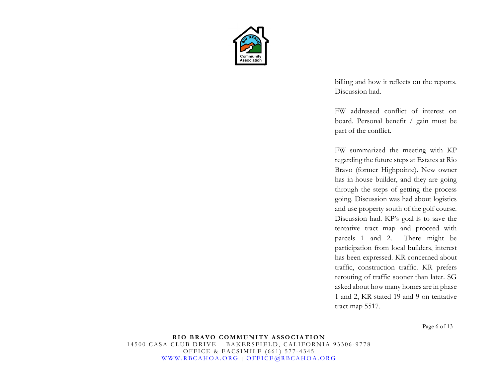

billing and how it reflects on the reports. Discussion had.

FW addressed conflict of interest on board. Personal benefit / gain must be part of the conflict.

FW summarized the meeting with KP regarding the future steps at Estates at Rio Bravo (former Highpointe). New owner has in-house builder, and they are going through the steps of getting the process going. Discussion was had about logistics and use property south of the golf course. Discussion had. KP's goal is to save the tentative tract map and proceed with parcels 1 and 2. There might be participation from local builders, interest has been expressed. KR concerned about traffic, construction traffic. KR prefers rerouting of traffic sooner than later. SG asked about how many homes are in phase 1 and 2, KR stated 19 and 9 on tentative tract map 5517.

Page 6 of 13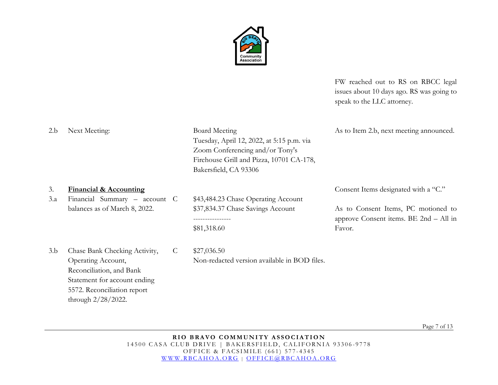

FW reached out to RS on RBCC legal issues about 10 days ago. RS was going to speak to the LLC attorney.

| 2.b | Next Meeting:                                  | <b>Board Meeting</b>                         | As to Item 2.b, next meeting announced. |
|-----|------------------------------------------------|----------------------------------------------|-----------------------------------------|
|     |                                                | Tuesday, April 12, 2022, at 5:15 p.m. via    |                                         |
|     |                                                | Zoom Conferencing and/or Tony's              |                                         |
|     |                                                | Firehouse Grill and Pizza, 10701 CA-178,     |                                         |
|     |                                                | Bakersfield, CA 93306                        |                                         |
| 3.  | <b>Financial &amp; Accounting</b>              |                                              | Consent Items designated with a "C."    |
| 3.a | Financial Summary $-$ account C                | \$43,484.23 Chase Operating Account          |                                         |
|     | balances as of March 8, 2022.                  | \$37,834.37 Chase Savings Account            | As to Consent Items, PC motioned to     |
|     |                                                |                                              | approve Consent items. BE 2nd – All in  |
|     |                                                | \$81,318.60                                  | Favor.                                  |
| 3.b | Chase Bank Checking Activity,<br>$\mathcal{C}$ | \$27,036.50                                  |                                         |
|     | Operating Account,                             | Non-redacted version available in BOD files. |                                         |

Page 7 of 13

**RIO BRAVO COMMUNITY ASSOCIATION** 14500 CASA CLUB DRIVE | BAKERSFIELD, CALIFORNIA 93306-9778 OFFICE & FACSIMILE (661) 577 - 4345 [WWW.RBCAHOA.ORG](http://www.rbcahoa.org/) | [OFFICE@RBCAHOA.ORG](mailto:OFFICE@RBCAHOA.ORG)

Reconciliation, and Bank

through 2/28/2022.

Statement for account ending 5572. Reconciliation report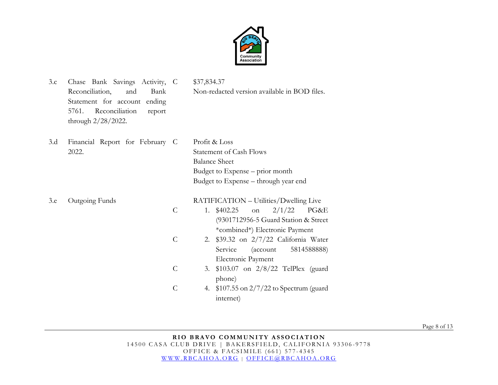

| 3.c | Chase Bank Savings Activity, C<br>Reconciliation,<br>Bank<br>and<br>ending<br>Statement for account<br>Reconciliation<br>5761.<br>report<br>through 2/28/2022. |                                | \$37,834.37<br>Non-redacted version available in BOD files.                                                                                                                                            |
|-----|----------------------------------------------------------------------------------------------------------------------------------------------------------------|--------------------------------|--------------------------------------------------------------------------------------------------------------------------------------------------------------------------------------------------------|
| 3.d | Financial Report for February C<br>2022.                                                                                                                       |                                | Profit & Loss<br><b>Statement of Cash Flows</b><br><b>Balance Sheet</b><br>Budget to Expense – prior month<br>Budget to Expense – through year end                                                     |
| 3.e | Outgoing Funds                                                                                                                                                 | $\mathcal{C}$<br>$\mathcal{C}$ | RATIFICATION - Utilities/Dwelling Live<br>2/1/22<br>1. \$402.25<br>PG&E<br>on<br>(9301712956-5 Guard Station & Street<br>*combined*) Electronic Payment<br>$$39.32$ on $2/7/22$ California Water<br>2. |
|     |                                                                                                                                                                | $\mathcal{C}$                  | Service<br>5814588888)<br>(account<br>Electronic Payment<br>$$103.07$ on $2/8/22$ TelPlex (guard<br>3.                                                                                                 |
|     |                                                                                                                                                                | $\overline{C}$                 | phone)<br>4. \$107.55 on 2/7/22 to Spectrum (guard<br>internet)                                                                                                                                        |

Page 8 of 13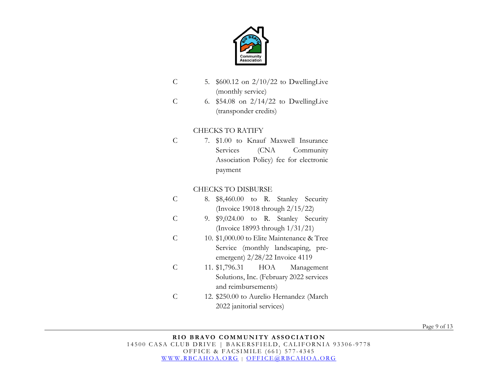

- C 5. \$600.12 on 2/10/22 to DwellingLive (monthly service)
- C 6. \$54.08 on 2/14/22 to DwellingLive (transponder credits)

## CHECKS TO RATIFY

C 7. \$1.00 to Knauf Maxwell Insurance Services (CNA Community Association Policy) fee for electronic payment

### CHECKS TO DISBURSE

- C 8. \$8,460.00 to R. Stanley Security (Invoice 19018 through 2/15/22)
- C 9. \$9,024.00 to R. Stanley Security (Invoice 18993 through 1/31/21)
- C 10. \$1,000.00 to Elite Maintenance & Tree Service (monthly landscaping, preemergent) 2/28/22 Invoice 4119
- C 11. \$1,796.31 HOA Management Solutions, Inc. (February 2022 services and reimbursements)
- C 12. \$250.00 to Aurelio Hernandez (March 2022 janitorial services)

Page 9 of 13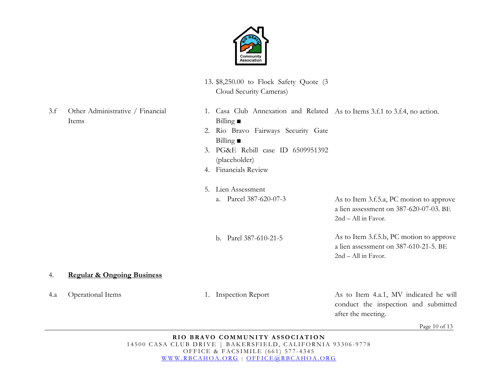

3.f Other Administrative / Financial

- 13. \$8,250.00 to Flock Safety Quote (3 Cloud Security Cameras)
- Page 10 of 13 Items 1. Casa Club Annexation and Related As to Items 3.f.1 to 3.f.4, no action. Billing **■**  2. Rio Bravo Fairways Security Gate Billing **■**  3. PG&E Rebill case ID 6509951392 (placeholder) 4. Financials Review 5. Lien Assessment a. Parcel 387-620-07-3 b. Parel 387-610-21-5 As to Item 3.f.5.a, PC motion to approve a lien assessment on 387-620-07-03. BE 2nd – All in Favor. As to Item 3.f.5.b, PC motion to approve a lien assessment on 387-610-21-5. BE 2nd – All in Favor. 4. **Regular & Ongoing Business** 4.a Operational Items 1. Inspection Report As to Item 4.a.1, MV indicated he will conduct the inspection and submitted after the meeting.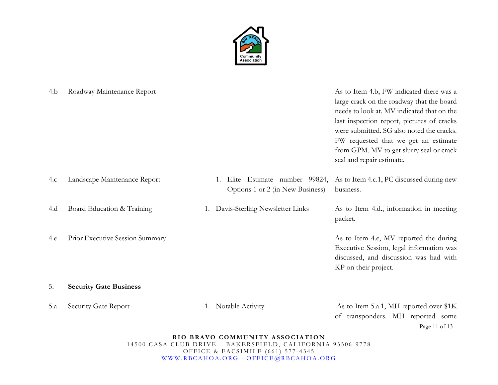

| 4.b | Roadway Maintenance Report      |                                                                  | As to Item 4.b, FW indicated there was a<br>large crack on the roadway that the board<br>needs to look at. MV indicated that on the<br>last inspection report, pictures of cracks<br>were submitted. SG also noted the cracks.<br>FW requested that we get an estimate<br>from GPM. MV to get slurry seal or crack<br>seal and repair estimate. |
|-----|---------------------------------|------------------------------------------------------------------|-------------------------------------------------------------------------------------------------------------------------------------------------------------------------------------------------------------------------------------------------------------------------------------------------------------------------------------------------|
| 4.c | Landscape Maintenance Report    | Elite Estimate number 99824,<br>Options 1 or 2 (in New Business) | As to Item 4.c.1, PC discussed during new<br>business.                                                                                                                                                                                                                                                                                          |
| 4.d | Board Education & Training      | Davis-Sterling Newsletter Links                                  | As to Item 4.d., information in meeting<br>packet.                                                                                                                                                                                                                                                                                              |
| 4.e | Prior Executive Session Summary |                                                                  | As to Item 4.e, MV reported the during<br>Executive Session, legal information was<br>discussed, and discussion was had with<br>KP on their project.                                                                                                                                                                                            |
| 5.  | <b>Security Gate Business</b>   |                                                                  |                                                                                                                                                                                                                                                                                                                                                 |
| 5.a | Security Gate Report            | Notable Activity                                                 | As to Item 5.a.1, MH reported over \$1K<br>of transponders. MH reported some                                                                                                                                                                                                                                                                    |

Page 11 of 13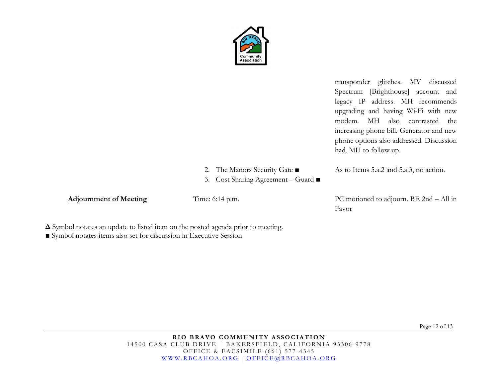

transponder glitches. MV discussed Spectrum [Brighthouse] account and legacy IP address. MH recommends upgrading and having Wi-Fi with new modem. MH also contrasted the increasing phone bill. Generator and new phone options also addressed. Discussion had. MH to follow up.

- 2. The Manors Security Gate ■
- 3. Cost Sharing Agreement Guard ■

Adjournment of Meeting Time: 6:14 p.m. PC motioned to adjourn. BE 2nd – All in

As to Items 5.a.2 and 5.a.3, no action.

Favor

**Δ** Symbol notates an update to listed item on the posted agenda prior to meeting.

■ Symbol notates items also set for discussion in Executive Session

Page 12 of 13